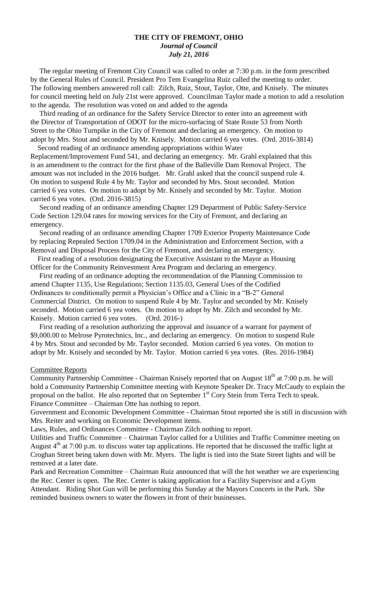#### **THE CITY OF FREMONT, OHIO** *Journal of Council July 21, 2016*

 The regular meeting of Fremont City Council was called to order at 7:30 p.m. in the form prescribed by the General Rules of Council. President Pro Tem Evangelina Ruiz called the meeting to order. The following members answered roll call: Zilch, Ruiz, Stout, Taylor, Otte, and Knisely. The minutes for council meeting held on July 21st were approved. Councilman Taylor made a motion to add a resolution to the agenda. The resolution was voted on and added to the agenda

 Third reading of an ordinance for the Safety Service Director to enter into an agreement with the Director of Transportation of ODOT for the micro-surfacing of State Route 53 from North Street to the Ohio Turnpike in the City of Fremont and declaring an emergency. On motion to adopt by Mrs. Stout and seconded by Mr. Knisely. Motion carried 6 yea votes. (Ord. 2016-3814) Second reading of an ordinance amending appropriations within Water

Replacement/Improvement Fund 541, and declaring an emergency. Mr. Grahl explained that this is an amendment to the contract for the first phase of the Balleville Dam Removal Project. The amount was not included in the 2016 budget. Mr. Grahl asked that the council suspend rule 4. On motion to suspend Rule 4 by Mr. Taylor and seconded by Mrs. Stout seconded. Motion carried 6 yea votes. On motion to adopt by Mr. Knisely and seconded by Mr. Taylor. Motion carried 6 yea votes. (Ord. 2016-3815)

 Second reading of an ordinance amending Chapter 129 Department of Public Safety-Service Code Section 129.04 rates for mowing services for the City of Fremont, and declaring an emergency.

 Second reading of an ordinance amending Chapter 1709 Exterior Property Maintenance Code by replacing Repealed Section 1709.04 in the Administration and Enforcement Section, with a Removal and Disposal Process for the City of Fremont, and declaring an emergency.

 First reading of a resolution designating the Executive Assistant to the Mayor as Housing Officer for the Community Reinvestment Area Program and declaring an emergency.

 First reading of an ordinance adopting the recommendation of the Planning Commission to amend Chapter 1135, Use Regulations; Section 1135.03, General Uses of the Codified Ordinances to conditionally permit a Physician's Office and a Clinic in a "B-2" General Commercial District. On motion to suspend Rule 4 by Mr. Taylor and seconded by Mr. Knisely seconded. Motion carried 6 yea votes. On motion to adopt by Mr. Zilch and seconded by Mr. Knisely. Motion carried 6 yea votes. (Ord. 2016-)

 First reading of a resolution authorizing the approval and issuance of a warrant for payment of \$9,000.00 to Melrose Pyrotechnics, Inc., and declaring an emergency. On motion to suspend Rule 4 by Mrs. Stout and seconded by Mr. Taylor seconded. Motion carried 6 yea votes. On motion to adopt by Mr. Knisely and seconded by Mr. Taylor. Motion carried 6 yea votes. (Res. 2016-1984)

#### Committee Reports

Community Partnership Committee - Chairman Knisely reported that on August  $18<sup>th</sup>$  at 7:00 p.m. he will hold a Community Partnership Committee meeting with Keynote Speaker Dr. Tracy McCaudy to explain the proposal on the ballot. He also reported that on September 1<sup>st</sup> Cory Stein from Terra Tech to speak. Finance Committee – Chairman Otte has nothing to report.

Government and Economic Development Committee - Chairman Stout reported she is still in discussion with Mrs. Reiter and working on Economic Development items.

Laws, Rules, and Ordinances Committee - Chairman Zilch nothing to report.

Utilities and Traffic Committee – Chairman Taylor called for a Utilities and Traffic Committee meeting on August  $4<sup>th</sup>$  at 7:00 p.m. to discuss water tap applications. He reported that he discussed the traffic light at Croghan Street being taken down with Mr. Myers. The light is tied into the State Street lights and will be removed at a later date.

Park and Recreation Committee – Chairman Ruiz announced that will the hot weather we are experiencing the Rec. Center is open. The Rec. Center is taking application for a Facility Supervisor and a Gym Attendant. Riding Shot Gun will be performing this Sunday at the Mayors Concerts in the Park. She reminded business owners to water the flowers in front of their businesses.